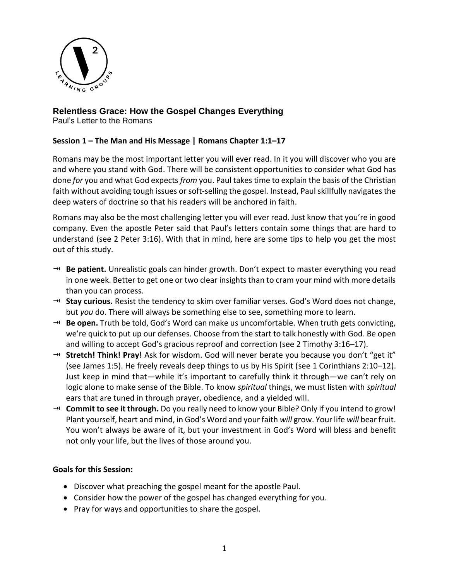

# **Relentless Grace: How the Gospel Changes Everything**

Paul's Letter to the Romans

## **Session 1 – The Man and His Message | Romans Chapter 1:1–17**

Romans may be the most important letter you will ever read. In it you will discover who you are and where you stand with God. There will be consistent opportunities to consider what God has done *for* you and what God expects *from* you. Paul takes time to explain the basis of the Christian faith without avoiding tough issues or soft-selling the gospel. Instead, Paul skillfully navigates the deep waters of doctrine so that his readers will be anchored in faith.

Romans may also be the most challenging letter you will ever read. Just know that you're in good company. Even the apostle Peter said that Paul's letters contain some things that are hard to understand (see 2 Peter 3:16). With that in mind, here are some tips to help you get the most out of this study.

- → **Be patient.** Unrealistic goals can hinder growth. Don't expect to master everything you read in one week. Better to get one or two clear insights than to cram your mind with more details than you can process.
- **Stay curious.** Resist the tendency to skim over familiar verses. God's Word does not change, but *you* do. There will always be something else to see, something more to learn.
- **Be open.** Truth be told, God's Word can make us uncomfortable. When truth gets convicting, we're quick to put up our defenses. Choose from the start to talk honestly with God. Be open and willing to accept God's gracious reproof and correction (see 2 Timothy 3:16–17).
- **Stretch! Think! Pray!** Ask for wisdom. God will never berate you because you don't "get it" (see James 1:5). He freely reveals deep things to us by His Spirit (see 1 Corinthians 2:10–12). Just keep in mind that—while it's important to carefully think it through—we can't rely on logic alone to make sense of the Bible. To know *spiritual* things, we must listen with *spiritual*  ears that are tuned in through prayer, obedience, and a yielded will.
- **Commit to see it through.** Do you really need to know your Bible? Only if you intend to grow! Plant yourself, heart and mind, in God's Word and your faith *will* grow. Your life *will* bear fruit. You won't always be aware of it, but your investment in God's Word will bless and benefit not only your life, but the lives of those around you.

## **Goals for this Session:**

- Discover what preaching the gospel meant for the apostle Paul.
- Consider how the power of the gospel has changed everything for you.
- Pray for ways and opportunities to share the gospel.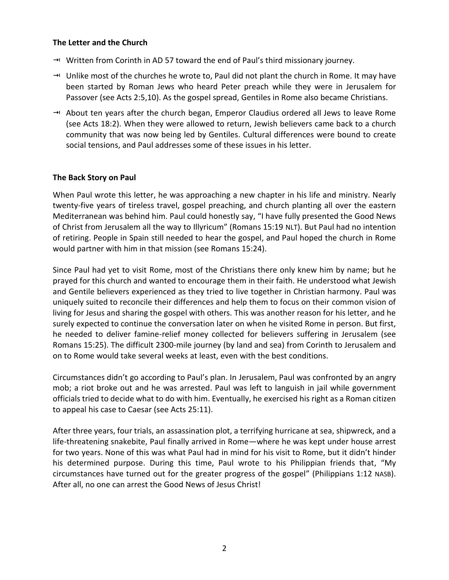#### **The Letter and the Church**

- → Written from Corinth in AD 57 toward the end of Paul's third missionary journey.
- $\rightarrow$  Unlike most of the churches he wrote to, Paul did not plant the church in Rome. It may have been started by Roman Jews who heard Peter preach while they were in Jerusalem for Passover (see Acts 2:5,10). As the gospel spread, Gentiles in Rome also became Christians.
- $\rightarrow$  About ten years after the church began, Emperor Claudius ordered all Jews to leave Rome (see Acts 18:2). When they were allowed to return, Jewish believers came back to a church community that was now being led by Gentiles. Cultural differences were bound to create social tensions, and Paul addresses some of these issues in his letter.

### **The Back Story on Paul**

When Paul wrote this letter, he was approaching a new chapter in his life and ministry. Nearly twenty-five years of tireless travel, gospel preaching, and church planting all over the eastern Mediterranean was behind him. Paul could honestly say, "I have fully presented the Good News of Christ from Jerusalem all the way to Illyricum" (Romans 15:19 NLT). But Paul had no intention of retiring. People in Spain still needed to hear the gospel, and Paul hoped the church in Rome would partner with him in that mission (see Romans 15:24).

Since Paul had yet to visit Rome, most of the Christians there only knew him by name; but he prayed for this church and wanted to encourage them in their faith. He understood what Jewish and Gentile believers experienced as they tried to live together in Christian harmony. Paul was uniquely suited to reconcile their differences and help them to focus on their common vision of living for Jesus and sharing the gospel with others. This was another reason for his letter, and he surely expected to continue the conversation later on when he visited Rome in person. But first, he needed to deliver famine-relief money collected for believers suffering in Jerusalem (see Romans 15:25). The difficult 2300-mile journey (by land and sea) from Corinth to Jerusalem and on to Rome would take several weeks at least, even with the best conditions.

Circumstances didn't go according to Paul's plan. In Jerusalem, Paul was confronted by an angry mob; a riot broke out and he was arrested. Paul was left to languish in jail while government officials tried to decide what to do with him. Eventually, he exercised his right as a Roman citizen to appeal his case to Caesar (see Acts 25:11).

After three years, four trials, an assassination plot, a terrifying hurricane at sea, shipwreck, and a life-threatening snakebite, Paul finally arrived in Rome—where he was kept under house arrest for two years. None of this was what Paul had in mind for his visit to Rome, but it didn't hinder his determined purpose. During this time, Paul wrote to his Philippian friends that, "My circumstances have turned out for the greater progress of the gospel" (Philippians 1:12 NASB). After all, no one can arrest the Good News of Jesus Christ!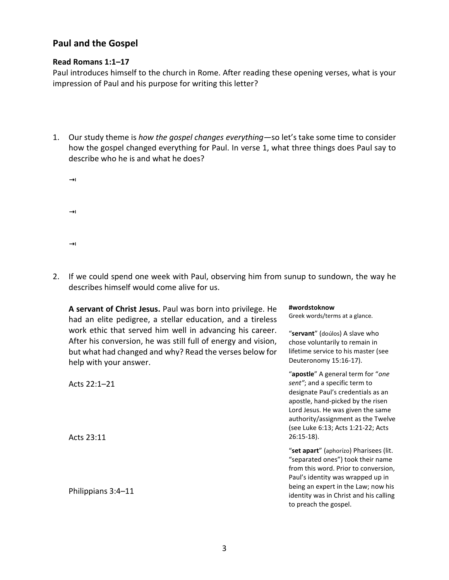# **Paul and the Gospel**

### **Read Romans 1:1–17**

Paul introduces himself to the church in Rome. After reading these opening verses, what is your impression of Paul and his purpose for writing this letter?

- 1. Our study theme is *how the gospel changes everything—*so let's take some time to consider how the gospel changed everything for Paul. In verse 1, what three things does Paul say to describe who he is and what he does?
	- $\rightarrow$  $\rightarrow$  $\rightarrow$
- 2. If we could spend one week with Paul, observing him from sunup to sundown, the way he describes himself would come alive for us.

**#wordstoknow** 

Greek words/terms at a glance.

"**servant**" (doúlos) A slave who chose voluntarily to remain in lifetime service to his master (see

Deuteronomy 15:16-17).

**A servant of Christ Jesus.** Paul was born into privilege. He had an elite pedigree, a stellar education, and a tireless work ethic that served him well in advancing his career. After his conversion, he was still full of energy and vision, but what had changed and why? Read the verses below for help with your answer.

Acts 22:1–21 Acts 23:11 Philippians 3:4–11 "**apostle**" A general term for "*one sent"*; and a specific term to designate Paul's credentials as an apostle, hand-picked by the risen Lord Jesus. He was given the same authority/assignment as the Twelve (see Luke 6:13; Acts 1:21-22; Acts 26:15-18). "**set apart**" (aphorízo) Pharisees (lit. "separated ones") took their name from this word. Prior to conversion, Paul's identity was wrapped up in being an expert in the Law; now his identity was in Christ and his calling to preach the gospel.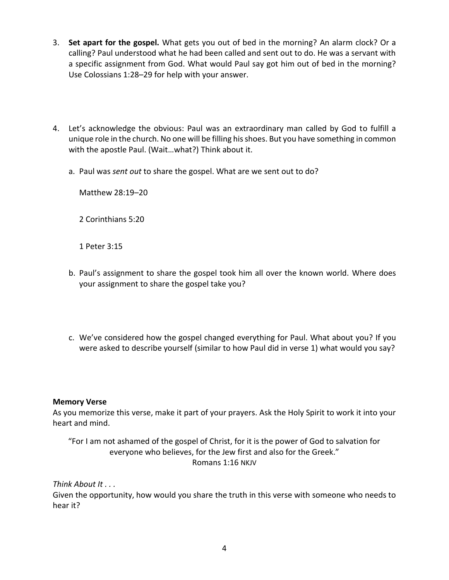- 3. **Set apart for the gospel.** What gets you out of bed in the morning? An alarm clock? Or a calling? Paul understood what he had been called and sent out to do. He was a servant with a specific assignment from God. What would Paul say got him out of bed in the morning? Use Colossians 1:28–29 for help with your answer.
- 4. Let's acknowledge the obvious: Paul was an extraordinary man called by God to fulfill a unique role in the church. No one will be filling his shoes. But you have something in common with the apostle Paul. (Wait…what?) Think about it.
	- a. Paul was *sent out* to share the gospel. What are we sent out to do?

Matthew 28:19–20

2 Corinthians 5:20

1 Peter 3:15

- b. Paul's assignment to share the gospel took him all over the known world. Where does your assignment to share the gospel take you?
- c. We've considered how the gospel changed everything for Paul. What about you? If you were asked to describe yourself (similar to how Paul did in verse 1) what would you say?

#### **Memory Verse**

As you memorize this verse, make it part of your prayers. Ask the Holy Spirit to work it into your heart and mind.

"For I am not ashamed of the gospel of Christ, for it is the power of God to salvation for everyone who believes, for the Jew first and also for the Greek." Romans 1:16 NKJV

#### *Think About It . . .*

Given the opportunity, how would you share the truth in this verse with someone who needs to hear it?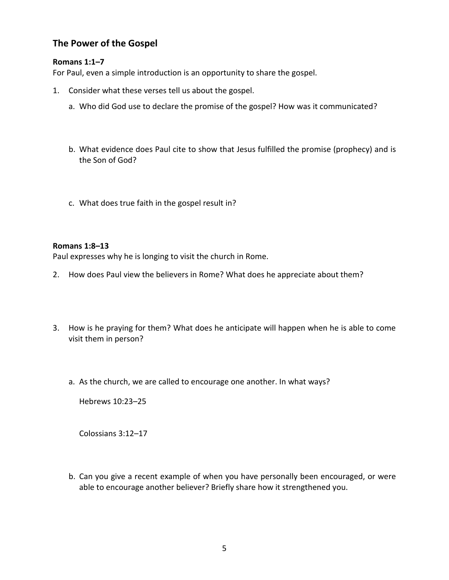# **The Power of the Gospel**

## **Romans 1:1–7**

For Paul, even a simple introduction is an opportunity to share the gospel.

- 1. Consider what these verses tell us about the gospel.
	- a. Who did God use to declare the promise of the gospel? How was it communicated?
	- b. What evidence does Paul cite to show that Jesus fulfilled the promise (prophecy) and is the Son of God?
	- c. What does true faith in the gospel result in?

### **Romans 1:8–13**

Paul expresses why he is longing to visit the church in Rome.

- 2. How does Paul view the believers in Rome? What does he appreciate about them?
- 3. How is he praying for them? What does he anticipate will happen when he is able to come visit them in person?
	- a. As the church, we are called to encourage one another. In what ways?

Hebrews 10:23–25

Colossians 3:12–17

b. Can you give a recent example of when you have personally been encouraged, or were able to encourage another believer? Briefly share how it strengthened you.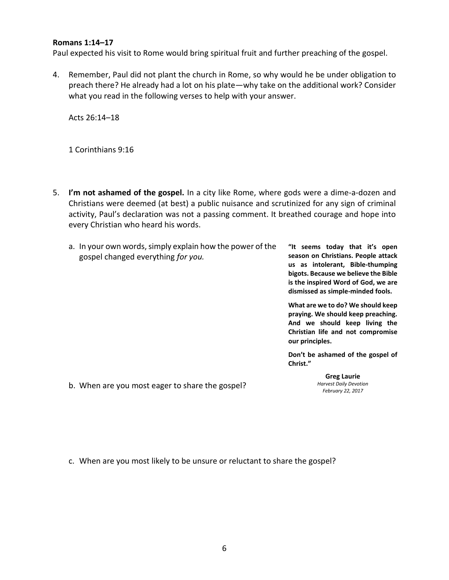#### **Romans 1:14–17**

Paul expected his visit to Rome would bring spiritual fruit and further preaching of the gospel.

4. Remember, Paul did not plant the church in Rome, so why would he be under obligation to preach there? He already had a lot on his plate—why take on the additional work? Consider what you read in the following verses to help with your answer.

Acts 26:14–18

1 Corinthians 9:16

- 5. **I'm not ashamed of the gospel.** In a city like Rome, where gods were a dime-a-dozen and Christians were deemed (at best) a public nuisance and scrutinized for any sign of criminal activity, Paul's declaration was not a passing comment. It breathed courage and hope into every Christian who heard his words.
	- a. In your own words, simply explain how the power of the gospel changed everything *for you.* **"It seems today that it's open season on Christians. People attack us as intolerant, Bible-thumping bigots. Because we believe the Bible**

**is the inspired Word of God, we are dismissed as simple-minded fools.**

**What are we to do? We should keep praying. We should keep preaching. And we should keep living the Christian life and not compromise our principles.**

**Don't be ashamed of the gospel of Christ."** 

> **Greg Laurie** *Harvest Daily Devotion February 22, 2017*

b. When are you most eager to share the gospel?

c. When are you most likely to be unsure or reluctant to share the gospel?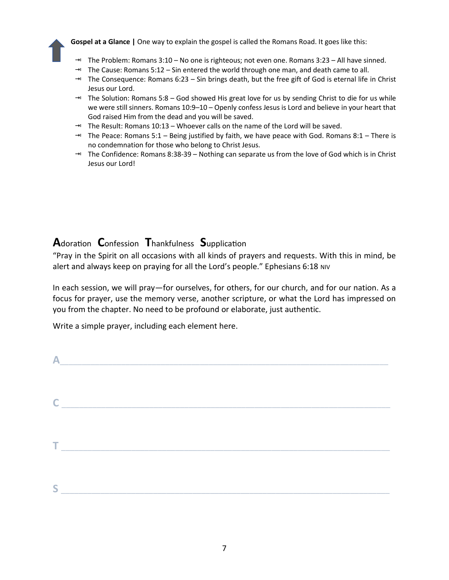

**Gospel at a Glance |** One way to explain the gospel is called the Romans Road. It goes like this:

- → The Problem: Romans 3:10 No one is righteous; not even one. Romans 3:23 All have sinned.
- $\rightarrow$  The Cause: Romans 5:12 Sin entered the world through one man, and death came to all.
- $\rightarrow$  The Consequence: Romans 6:23 Sin brings death, but the free gift of God is eternal life in Christ Jesus our Lord.
- The Solution: Romans 5:8 God showed His great love for us by sending Christ to die for us while we were still sinners. Romans 10:9–10 – Openly confess Jesus is Lord and believe in your heart that God raised Him from the dead and you will be saved.
- $\rightarrow$  The Result: Romans 10:13 Whoever calls on the name of the Lord will be saved.
- $\rightarrow$  The Peace: Romans 5:1 Being justified by faith, we have peace with God. Romans 8:1 There is no condemnation for those who belong to Christ Jesus.
- → The Confidence: Romans 8:38-39 Nothing can separate us from the love of God which is in Christ Jesus our Lord!

# **A**doration **C**onfession **T**hankfulness **S**upplication

"Pray in the Spirit on all occasions with all kinds of prayers and requests. With this in mind, be alert and always keep on praying for all the Lord's people." Ephesians 6:18 NIV

In each session, we will pray—for ourselves, for others, for our church, and for our nation. As a focus for prayer, use the memory verse, another scripture, or what the Lord has impressed on you from the chapter. No need to be profound or elaborate, just authentic.

Write a simple prayer, including each element here.